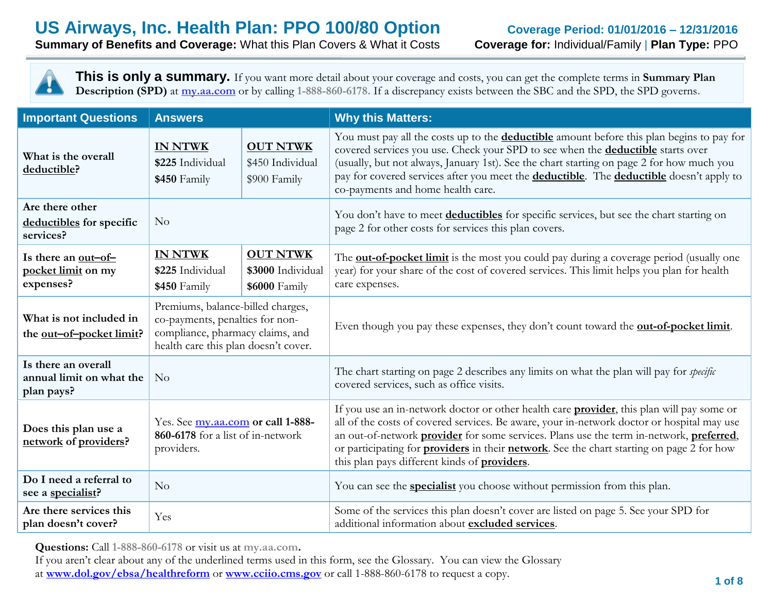**Summary of Benefits and Coverage:** What this Plan Covers & What it Costs **Coverage for:** Individual/Family | **Plan Type:** PPO

**This is only a summary.** If you want more detail about your coverage and costs, you can get the complete terms in **Summary Plan Description (SPD)** at **my.aa.com** or by calling **1-888-860-6178.** If a discrepancy exists between the SBC and the SPD, the SPD governs**.**

| <b>Important Questions</b>                                    | <b>Why this Matters:</b><br><b>Answers</b>                                                                                                       |                                                       |                                                                                                                                                                                                                                                                                                                                                                                                                                                        |
|---------------------------------------------------------------|--------------------------------------------------------------------------------------------------------------------------------------------------|-------------------------------------------------------|--------------------------------------------------------------------------------------------------------------------------------------------------------------------------------------------------------------------------------------------------------------------------------------------------------------------------------------------------------------------------------------------------------------------------------------------------------|
| What is the overall<br>deductible?                            | <b>IN NTWK</b><br>\$225 Individual<br>\$450 Family                                                                                               | <b>OUT NTWK</b><br>\$450 Individual<br>\$900 Family   | You must pay all the costs up to the <b>deductible</b> amount before this plan begins to pay for<br>covered services you use. Check your SPD to see when the <b>deductible</b> starts over<br>(usually, but not always, January 1st). See the chart starting on page 2 for how much you<br>pay for covered services after you meet the <b>deductible</b> . The <b>deductible</b> doesn't apply to<br>co-payments and home health care.                 |
| Are there other<br>deductibles for specific<br>services?      | No                                                                                                                                               |                                                       | You don't have to meet deductibles for specific services, but see the chart starting on<br>page 2 for other costs for services this plan covers.                                                                                                                                                                                                                                                                                                       |
| Is there an out-of-<br>pocket limit on my<br>expenses?        | <b>IN NTWK</b><br>\$225 Individual<br>\$450 Family                                                                                               | <b>OUT NTWK</b><br>\$3000 Individual<br>\$6000 Family | The <b>out-of-pocket limit</b> is the most you could pay during a coverage period (usually one<br>year) for your share of the cost of covered services. This limit helps you plan for health<br>care expenses.                                                                                                                                                                                                                                         |
| What is not included in<br>the out-of-pocket limit?           | Premiums, balance-billed charges,<br>co-payments, penalties for non-<br>compliance, pharmacy claims, and<br>health care this plan doesn't cover. |                                                       | Even though you pay these expenses, they don't count toward the <b>out-of-pocket limit</b> .                                                                                                                                                                                                                                                                                                                                                           |
| Is there an overall<br>annual limit on what the<br>plan pays? | N <sub>o</sub>                                                                                                                                   |                                                       | The chart starting on page 2 describes any limits on what the plan will pay for <i>specific</i><br>covered services, such as office visits.                                                                                                                                                                                                                                                                                                            |
| Does this plan use a<br>network of providers?                 | Yes. See my.aa.com or call 1-888-<br>860-6178 for a list of in-network<br>providers.                                                             |                                                       | If you use an in-network doctor or other health care <b>provider</b> , this plan will pay some or<br>all of the costs of covered services. Be aware, your in-network doctor or hospital may use<br>an out-of-network provider for some services. Plans use the term in-network, preferred,<br>or participating for <b>providers</b> in their <b>network</b> . See the chart starting on page 2 for how<br>this plan pays different kinds of providers. |
| Do I need a referral to<br>see a specialist?                  | No                                                                                                                                               |                                                       | You can see the <b>specialist</b> you choose without permission from this plan.                                                                                                                                                                                                                                                                                                                                                                        |
| Are there services this<br>plan doesn't cover?                | Yes                                                                                                                                              |                                                       | Some of the services this plan doesn't cover are listed on page 5. See your SPD for<br>additional information about excluded services.                                                                                                                                                                                                                                                                                                                 |

**Questions:** Call **1-888-860-6178** or visit us at **my.aa.com.**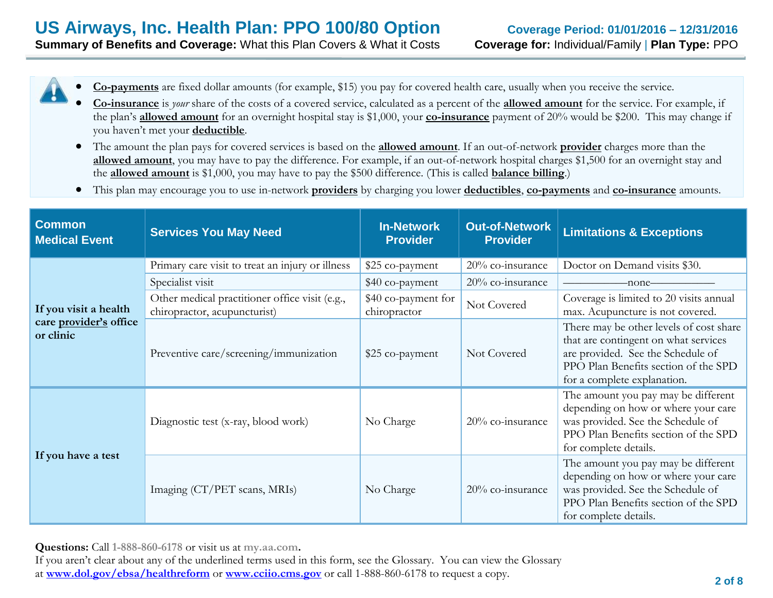- **Co-payments** are fixed dollar amounts (for example, \$15) you pay for covered health care, usually when you receive the service.
- **Co-insurance** is *your* share of the costs of a covered service, calculated as a percent of the **allowed amount** for the service. For example, if the plan's **allowed amount** for an overnight hospital stay is \$1,000, your **co-insurance** payment of 20% would be \$200. This may change if you haven't met your **deductible**.
- The amount the plan pays for covered services is based on the **allowed amount**. If an out-of-network **provider** charges more than the **allowed amount**, you may have to pay the difference. For example, if an out-of-network hospital charges \$1,500 for an overnight stay and the **allowed amount** is \$1,000, you may have to pay the \$500 difference. (This is called **balance billing**.)
- This plan may encourage you to use in-network **providers** by charging you lower **deductibles**, **co-payments** and **co-insurance** amounts.

| <b>Common</b><br><b>Medical Event</b> | <b>Services You May Need</b>                                                   | <b>In-Network</b><br><b>Provider</b> | <b>Out-of-Network</b><br><b>Provider</b> | <b>Limitations &amp; Exceptions</b>                                                                                                                                                         |
|---------------------------------------|--------------------------------------------------------------------------------|--------------------------------------|------------------------------------------|---------------------------------------------------------------------------------------------------------------------------------------------------------------------------------------------|
|                                       | Primary care visit to treat an injury or illness                               | \$25 co-payment                      | 20% co-insurance                         | Doctor on Demand visits \$30.                                                                                                                                                               |
|                                       | Specialist visit                                                               | \$40 co-payment                      | 20% co-insurance                         | -none-                                                                                                                                                                                      |
| If you visit a health                 | Other medical practitioner office visit (e.g.,<br>chiropractor, acupuncturist) | \$40 co-payment for<br>chiropractor  | Not Covered                              | Coverage is limited to 20 visits annual<br>max. Acupuncture is not covered.                                                                                                                 |
| care provider's office<br>or clinic   | Preventive care/screening/immunization                                         | \$25 co-payment                      | Not Covered                              | There may be other levels of cost share<br>that are contingent on what services<br>are provided. See the Schedule of<br>PPO Plan Benefits section of the SPD<br>for a complete explanation. |
| If you have a test                    | Diagnostic test (x-ray, blood work)                                            | No Charge                            | 20% co-insurance                         | The amount you pay may be different<br>depending on how or where your care<br>was provided. See the Schedule of<br>PPO Plan Benefits section of the SPD<br>for complete details.            |
|                                       | Imaging (CT/PET scans, MRIs)                                                   | No Charge                            | 20% co-insurance                         | The amount you pay may be different<br>depending on how or where your care<br>was provided. See the Schedule of<br>PPO Plan Benefits section of the SPD<br>for complete details.            |

**Questions:** Call **1-888-860-6178** or visit us at **my.aa.com.**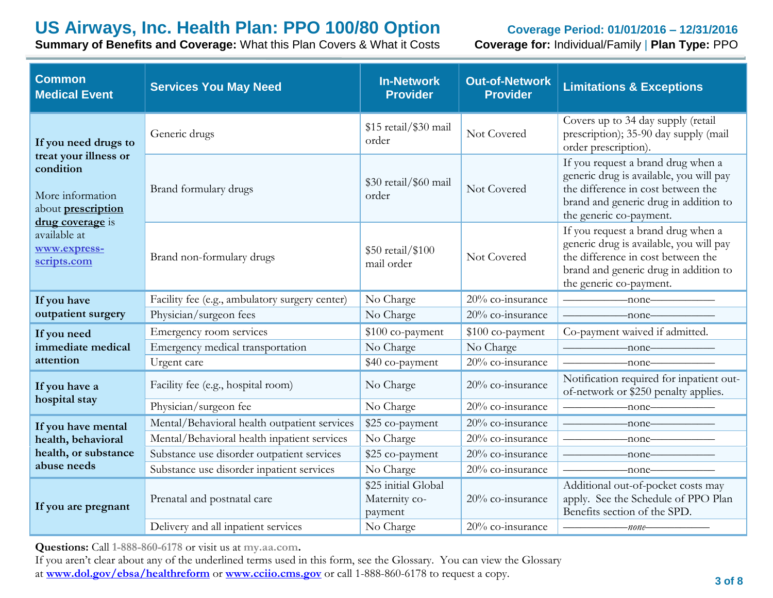**Summary of Benefits and Coverage:** What this Plan Covers & What it Costs **Coverage for:** Individual/Family | **Plan Type:** PPO

| <b>Common</b><br><b>Medical Event</b>                                                                                                                                          | <b>Services You May Need</b>                   | <b>In-Network</b><br><b>Provider</b>            | <b>Out-of-Network</b><br><b>Provider</b> | <b>Limitations &amp; Exceptions</b>                                                                                                                                                     |
|--------------------------------------------------------------------------------------------------------------------------------------------------------------------------------|------------------------------------------------|-------------------------------------------------|------------------------------------------|-----------------------------------------------------------------------------------------------------------------------------------------------------------------------------------------|
| If you need drugs to<br>treat your illness or<br>condition<br>More information<br>about <b>prescription</b><br>drug coverage is<br>available at<br>www.express-<br>scripts.com | Generic drugs                                  | \$15 retail/\$30 mail<br>order                  | Not Covered                              | Covers up to 34 day supply (retail<br>prescription); 35-90 day supply (mail<br>order prescription).                                                                                     |
|                                                                                                                                                                                | Brand formulary drugs                          | \$30 retail/\$60 mail<br>order                  | Not Covered                              | If you request a brand drug when a<br>generic drug is available, you will pay<br>the difference in cost between the<br>brand and generic drug in addition to<br>the generic co-payment. |
|                                                                                                                                                                                | Brand non-formulary drugs                      | \$50 retail/\$100<br>mail order                 | Not Covered                              | If you request a brand drug when a<br>generic drug is available, you will pay<br>the difference in cost between the<br>brand and generic drug in addition to<br>the generic co-payment. |
| If you have                                                                                                                                                                    | Facility fee (e.g., ambulatory surgery center) | No Charge                                       | 20% co-insurance                         | $\longrightarrow$ none                                                                                                                                                                  |
| outpatient surgery                                                                                                                                                             | Physician/surgeon fees                         | No Charge                                       | 20% co-insurance                         | $\overline{\phantom{a}}$ none $\overline{\phantom{a}}$                                                                                                                                  |
| If you need                                                                                                                                                                    | Emergency room services                        | \$100 co-payment                                | \$100 co-payment                         | Co-payment waived if admitted.                                                                                                                                                          |
| immediate medical                                                                                                                                                              | Emergency medical transportation               | No Charge                                       | No Charge                                | $-none$                                                                                                                                                                                 |
| attention                                                                                                                                                                      | Urgent care                                    | \$40 co-payment                                 | 20% co-insurance                         | $\longrightarrow$ none                                                                                                                                                                  |
| If you have a                                                                                                                                                                  | Facility fee (e.g., hospital room)             | No Charge                                       | 20% co-insurance                         | Notification required for inpatient out-<br>of-network or \$250 penalty applies.                                                                                                        |
| hospital stay                                                                                                                                                                  | Physician/surgeon fee                          | No Charge                                       | 20% co-insurance                         | $-none$ ——                                                                                                                                                                              |
| If you have mental                                                                                                                                                             | Mental/Behavioral health outpatient services   | \$25 co-payment                                 | 20% co-insurance                         | $\overline{\phantom{a}}$ none                                                                                                                                                           |
| health, behavioral                                                                                                                                                             | Mental/Behavioral health inpatient services    | No Charge                                       | 20% co-insurance                         | $-none$                                                                                                                                                                                 |
| health, or substance<br>abuse needs                                                                                                                                            | Substance use disorder outpatient services     | \$25 co-payment                                 | 20% co-insurance                         | $-$ none $-$                                                                                                                                                                            |
|                                                                                                                                                                                | Substance use disorder inpatient services      | No Charge                                       | 20% co-insurance                         | $-none$                                                                                                                                                                                 |
| If you are pregnant                                                                                                                                                            | Prenatal and postnatal care                    | \$25 initial Global<br>Maternity co-<br>payment | 20% co-insurance                         | Additional out-of-pocket costs may<br>apply. See the Schedule of PPO Plan<br>Benefits section of the SPD.                                                                               |
|                                                                                                                                                                                | Delivery and all inpatient services            | No Charge                                       | 20% co-insurance                         | -none-                                                                                                                                                                                  |

**Questions:** Call **1-888-860-6178** or visit us at **my.aa.com.**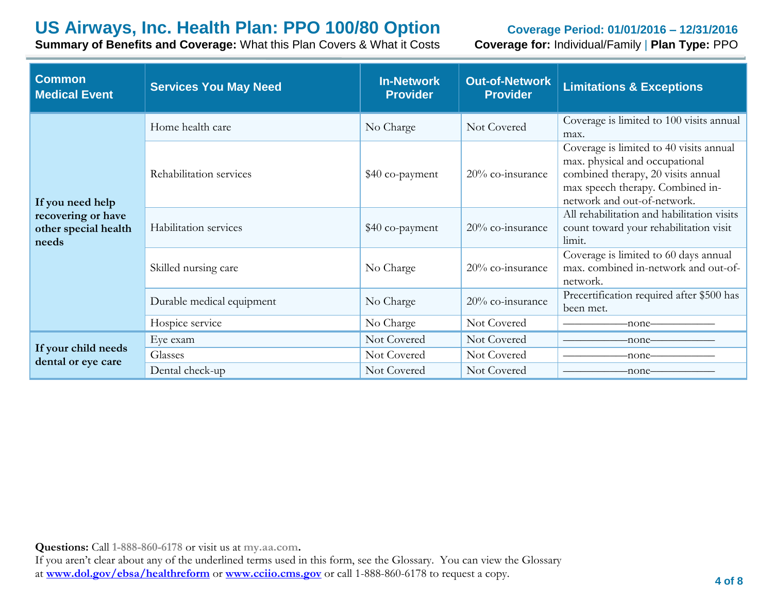**Summary of Benefits and Coverage:** What this Plan Covers & What it Costs **Coverage for:** Individual/Family | **Plan Type:** PPO

| <b>Common</b><br><b>Medical Event</b>               | <b>Services You May Need</b> | <b>In-Network</b><br><b>Provider</b> | <b>Out-of-Network</b><br><b>Provider</b> | <b>Limitations &amp; Exceptions</b>                                                                                                                                                |
|-----------------------------------------------------|------------------------------|--------------------------------------|------------------------------------------|------------------------------------------------------------------------------------------------------------------------------------------------------------------------------------|
| If you need help                                    | Home health care             | No Charge                            | Not Covered                              | Coverage is limited to 100 visits annual<br>max.                                                                                                                                   |
|                                                     | Rehabilitation services      | \$40 co-payment                      | $20\%$ co-insurance                      | Coverage is limited to 40 visits annual<br>max. physical and occupational<br>combined therapy, 20 visits annual<br>max speech therapy. Combined in-<br>network and out-of-network. |
| recovering or have<br>other special health<br>needs | Habilitation services        | \$40 co-payment                      | 20% co-insurance                         | All rehabilitation and habilitation visits<br>count toward your rehabilitation visit<br>limit.                                                                                     |
|                                                     | Skilled nursing care         | No Charge                            | 20% co-insurance                         | Coverage is limited to 60 days annual<br>max. combined in-network and out-of-<br>network.                                                                                          |
|                                                     | Durable medical equipment    | No Charge                            | 20% co-insurance                         | Precertification required after \$500 has<br>been met.                                                                                                                             |
|                                                     | Hospice service              | No Charge                            | Not Covered                              | -none–                                                                                                                                                                             |
|                                                     | Eye exam                     | Not Covered                          | Not Covered                              | -none-                                                                                                                                                                             |
| If your child needs<br>dental or eye care           | Glasses                      | Not Covered                          | Not Covered                              | -none-                                                                                                                                                                             |
|                                                     | Dental check-up              | Not Covered                          | Not Covered                              | -none-                                                                                                                                                                             |

**Questions:** Call **1-888-860-6178** or visit us at **my.aa.com.**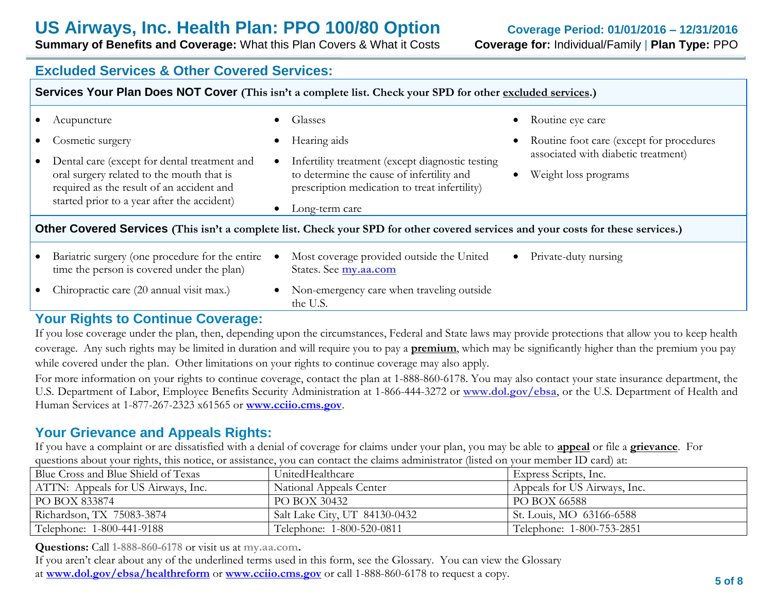**Summary of Benefits and Coverage:** What this Plan Covers & What it Costs **Coverage for:** Individual/Family | **Plan Type:** PPO

### **Excluded Services & Other Covered Services:**

| Services Your Plan Does NOT Cover (This isn't a complete list. Check your SPD for other excluded services.)                                                                                               |                                                                                                                                                                                                            |                                                                                                                      |  |  |  |
|-----------------------------------------------------------------------------------------------------------------------------------------------------------------------------------------------------------|------------------------------------------------------------------------------------------------------------------------------------------------------------------------------------------------------------|----------------------------------------------------------------------------------------------------------------------|--|--|--|
| Acupuncture                                                                                                                                                                                               | <b>Glasses</b><br>$\bullet$                                                                                                                                                                                | • Routine eye care                                                                                                   |  |  |  |
| Cosmetic surgery<br>Dental care (except for dental treatment and<br>oral surgery related to the mouth that is<br>required as the result of an accident and<br>started prior to a year after the accident) | Hearing aids<br>$\bullet$<br>Infertility treatment (except diagnostic testing<br>$\bullet$<br>to determine the cause of infertility and<br>prescription medication to treat infertility)<br>Long-term care | Routine foot care (except for procedures<br>associated with diabetic treatment)<br>Weight loss programs<br>$\bullet$ |  |  |  |
| Other Covered Services (This isn't a complete list. Check your SPD for other covered services and your costs for these services.)                                                                         |                                                                                                                                                                                                            |                                                                                                                      |  |  |  |
| Bariatric surgery (one procedure for the entire<br>time the person is covered under the plan)                                                                                                             | Most coverage provided outside the United<br>States. See my.aa.com                                                                                                                                         | • Private-duty nursing                                                                                               |  |  |  |
| Chiropractic care (20 annual visit max.)                                                                                                                                                                  | Non-emergency care when traveling outside<br>$\bullet$<br>the U.S.                                                                                                                                         |                                                                                                                      |  |  |  |

### **Your Rights to Continue Coverage:**

If you lose coverage under the plan, then, depending upon the circumstances, Federal and State laws may provide protections that allow you to keep health coverage. Any such rights may be limited in duration and will require you to pay a **premium**, which may be significantly higher than the premium you pay while covered under the plan. Other limitations on your rights to continue coverage may also apply.

For more information on your rights to continue coverage, contact the plan at 1-888-860-6178. You may also contact your state insurance department, the U.S. Department of Labor, Employee Benefits Security Administration at 1-866-444-3272 or **www.dol.gov/ebsa**, or the U.S. Department of Health and Human Services at 1-877-267-2323 x61565 or **[www.cciio.cms.gov](http://www.cciio.cms.gov/)**.

## **Your Grievance and Appeals Rights:**

If you have a complaint or are dissatisfied with a denial of coverage for claims under your plan, you may be able to **appeal** or file a **grievance**. For questions about your rights, this notice, or assistance, you can contact the claims administrator (listed on your member ID card) at:

| Blue Cross and Blue Shield of Texas | UnitedHealthcare              | Express Scripts, Inc.        |
|-------------------------------------|-------------------------------|------------------------------|
| ATTN: Appeals for US Airways, Inc.  | National Appeals Center       | Appeals for US Airways, Inc. |
| PO BOX 833874                       | PO BOX 30432                  | PO BOX 66588                 |
| Richardson, TX 75083-3874           | Salt Lake City, UT 84130-0432 | St. Louis, MO 63166-6588     |
| Telephone: 1-800-441-9188           | Telephone: 1-800-520-0811     | Telephone: 1-800-753-2851    |

**Questions:** Call **1-888-860-6178** or visit us at **my.aa.com.**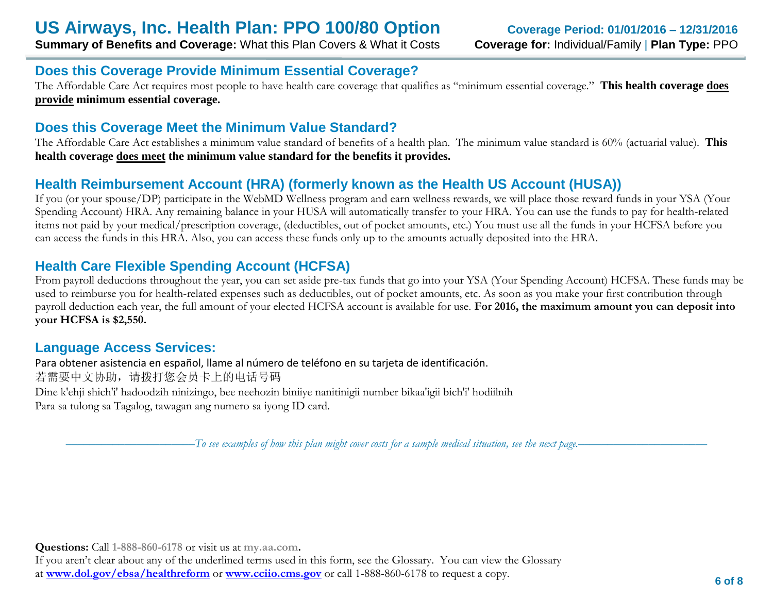## **Does this Coverage Provide Minimum Essential Coverage?**

The Affordable Care Act requires most people to have health care coverage that qualifies as "minimum essential coverage." **This health coverage does provide minimum essential coverage.**

## **Does this Coverage Meet the Minimum Value Standard?**

The Affordable Care Act establishes a minimum value standard of benefits of a health plan. The minimum value standard is 60% (actuarial value). **This health coverage does meet the minimum value standard for the benefits it provides.**

## **Health Reimbursement Account (HRA) (formerly known as the Health US Account (HUSA))**

If you (or your spouse/DP) participate in the WebMD Wellness program and earn wellness rewards, we will place those reward funds in your YSA (Your Spending Account) HRA. Any remaining balance in your HUSA will automatically transfer to your HRA. You can use the funds to pay for health-related items not paid by your medical/prescription coverage, (deductibles, out of pocket amounts, etc.) You must use all the funds in your HCFSA before you can access the funds in this HRA. Also, you can access these funds only up to the amounts actually deposited into the HRA.

## **Health Care Flexible Spending Account (HCFSA)**

From payroll deductions throughout the year, you can set aside pre-tax funds that go into your YSA (Your Spending Account) HCFSA. These funds may be used to reimburse you for health-related expenses such as deductibles, out of pocket amounts, etc. As soon as you make your first contribution through payroll deduction each year, the full amount of your elected HCFSA account is available for use. **For 2016, the maximum amount you can deposit into your HCFSA is \$2,550.** 

## **Language Access Services:**

Para obtener asistencia en español, llame al número de teléfono en su tarjeta de identificación. 若需要中文协助,请拨打您会员卡上的电话号码 Dine k'ehji shich'i' hadoodzih ninizingo, bee neehozin biniiye nanitinigii number bikaa'igii bich'i' hodiilnih Para sa tulong sa Tagalog, tawagan ang numero sa iyong ID card.

––––––––––––––––––––––*To see examples of how this plan might cover costs for a sample medical situation, see the next page.–––––––––––*–––––––––––

**Questions:** Call **1-888-860-6178** or visit us at **my.aa.com.**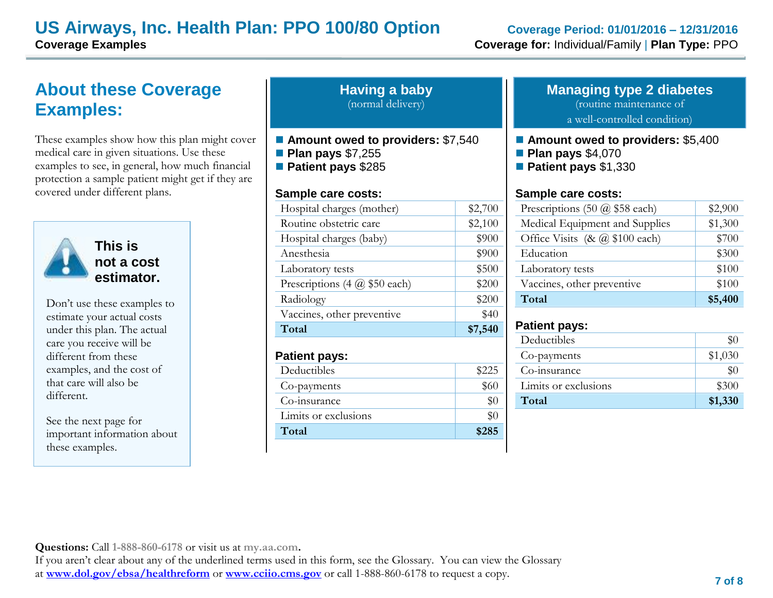## **US Airways, Inc. Health Plan: PPO 100/80 Option Coverage Period: 01/01/2016 – 12/31/2016 Coverage Examples Coverage for:** Individual/Family | **Plan Type:** PPO

# **About these Coverage Examples:**

These examples show how this plan might cover medical care in given situations. Use these examples to see, in general, how much financial protection a sample patient might get if they are covered under different plans.



**This is not a cost estimator.** 

Don't use these examples to estimate your actual costs under this plan. The actual care you receive will be different from these examples, and the cost of that care will also be different.

See the next page for important information about these examples.

| <b>Having a baby</b> |  |
|----------------------|--|
| (normal delivery)    |  |

- Amount owed to providers: \$7,540
- **Plan pays** \$7,255
- **Patient pays** \$285

#### **Sample care costs:**

| Total                               | \$7,540 |
|-------------------------------------|---------|
| Vaccines, other preventive          | \$40    |
| Radiology                           | \$200   |
| Prescriptions $(4 \omega $50$ each) | \$200   |
| Laboratory tests                    | \$500   |
| Anesthesia                          | \$900   |
| Hospital charges (baby)             | \$900   |
| Routine obstetric care              | \$2,100 |
| Hospital charges (mother)           | \$2,700 |
|                                     |         |

#### **Patient pays:**

| Deductibles          | \$225 |
|----------------------|-------|
| Co-payments          | \$60  |
| Co-insurance         |       |
| Limits or exclusions |       |
| Total                | \$285 |

#### **Managing type 2 diabetes** (routine maintenance of

a well-controlled condition)

#### ■ **Amount owed to providers: \$5,400**

- **Plan pays** \$4,070
- **Patient pays** \$1,330

#### **Sample care costs:**

| Prescriptions $(50 \text{ @ } $58 \text{ each})$                | \$2,900 |
|-----------------------------------------------------------------|---------|
| Medical Equipment and Supplies                                  | \$1,300 |
| Office Visits $(8c \, \textcircled{a} \, \$100 \, \text{each})$ | \$700   |
| Education                                                       | \$300   |
| Laboratory tests                                                | \$100   |
| Vaccines, other preventive                                      | \$100   |
| Total                                                           | \$5,400 |

#### **Patient pays:**

| Deductibles          |         |
|----------------------|---------|
| Co-payments          | \$1,030 |
| Co-insurance         | $\$0$   |
| Limits or exclusions | \$300   |
| Total                | \$1,330 |

**Questions:** Call **1-888-860-6178** or visit us at **my.aa.com.**